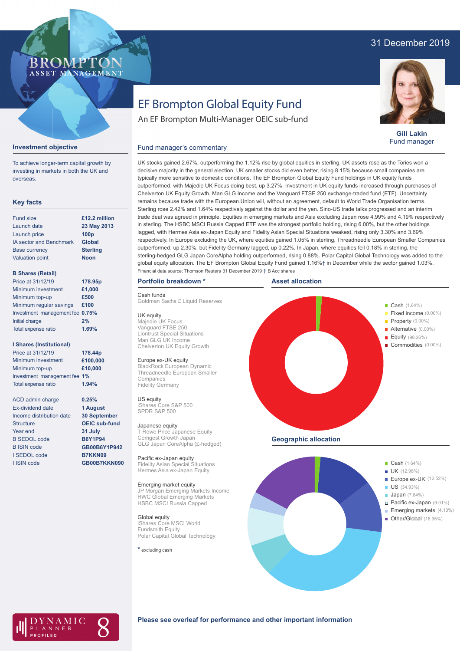# 31 December 2019



# EF Brompton Global Equity Fund

An EF Brompton Multi-Manager OEIC sub-fund



**Gill Lakin** Fund manager

### **Investment objective**

To achieve longer-term capital growth by investing in markets in both the UK and overseas.

# **Key facts**

| Fund size                      | £12.2 million    |
|--------------------------------|------------------|
| Launch date                    | 23 May 2013      |
| Launch price                   | 100 <sub>p</sub> |
| <b>IA sector and Benchmark</b> | Global           |
| <b>Base currency</b>           | <b>Sterling</b>  |
| <b>Valuation point</b>         | <b>Noon</b>      |
|                                |                  |

# **B Shares (Retail)**

| Price at 31/12/19               | 178.95p |
|---------------------------------|---------|
| Minimum investment              | £1,000  |
| Minimum top-up                  | £500    |
| Minimum regular savings         | £100    |
| Investment management fee 0.75% |         |
| Initial charge                  | 2%      |
| Total expense ratio             | 1.69%   |
|                                 |         |

## **I Shares (Institutional)**

| Price at 31/12/19            | 178.44p  |
|------------------------------|----------|
| Minimum investment           | £100,000 |
| Minimum top-up               | £10,000  |
| Investment management fee 1% |          |
| Total expense ratio          | 1.94%    |

ACD admin charge Ex-dividend date Income distribution date Structure Year end B SEDOL code B ISIN code I SEDOL code I ISIN code

**0.25% 1 August 30 September OEIC sub-fund 31 July B6Y1P94 GB00B6Y1P942 B7KKN09 GB00B7KKN090**

UK stocks gained 2.67%, outperforming the 1.12% rise by global equities in sterling. UK assets rose as the Tories won a decisive majority in the general election. UK smaller stocks did even better, rising 8.15% because small companies are typically more sensitive to domestic conditions. The EF Brompton Global Equity Fund holdings in UK equity funds outperformed, with Majedie UK Focus doing best, up 3.27%. Investment in UK equity funds increased through purchases of Chelverton UK Equity Growth, Man GLG Income and the Vanguard FTSE 250 exchange-traded fund (ETF). Uncertainty remains because trade with the European Union will, without an agreement, default to World Trade Organisation terms. Sterling rose 2.42% and 1.64% respectively against the dollar and the yen. Sino-US trade talks progressed and an interim trade deal was agreed in principle. Equities in emerging markets and Asia excluding Japan rose 4.99% and 4.19% respectively in sterling. The HSBC MSCI Russia Capped ETF was the strongest portfolio holding, rising 6.00%, but the other holdings lagged, with Hermes Asia ex-Japan Equity and Fidelity Asian Special Situations weakest, rising only 3.30% and 3.69% respectively. In Europe excluding the UK, where equities gained 1.05% in sterling, Threadneedle European Smaller Companies outperformed, up 2.30%, but Fidelity Germany lagged, up 0.22%. In Japan, where equities fell 0.18% in sterling, the sterling-hedged GLG Japan CoreAlpha holding outperformed, rising 0.88%. Polar Capital Global Technology was added to the global equity allocation. The EF Brompton Global Equity Fund gained 1.16%† in December while the sector gained 1.03%. Financial data source: Thomson Reuters 31 December 2019 † B Acc shares

# **Portfolio breakdown \***

# Cash funds

Goldman Sachs £ Liquid Reserves

Fund manager's commentary

UK equity Majedie UK Focus

Vanguard FTSE 250 Liontrust Special Situations Man GLG UK Income Chelverton UK Equity Growth

# Europe ex-UK equity

BlackRock European Dynamic Threadneedle European Smaller Companies Fidelity Germany

#### US equity

iShares Core S&P 500 SPDR S&P 500

#### Japanese equity

T Rowe Price Japanese Equity Comgest Growth Japan GLG Japan CoreAlpha (£-hedged)

Pacific ex-Japan equity Fidelity Asian Special Situations Hermes Asia ex-Japan Equity

#### Emerging market equity

JP Morgan Emerging Markets Income RWC Global Emerging Markets HSBC MSCI Russia Capped

# Global equity iShares Core MSCI World Fundsmith Equity Polar Capital Global Technology

**\*** excluding cash





AMIC ANNER

### **Please see overleaf for performance and other important information**